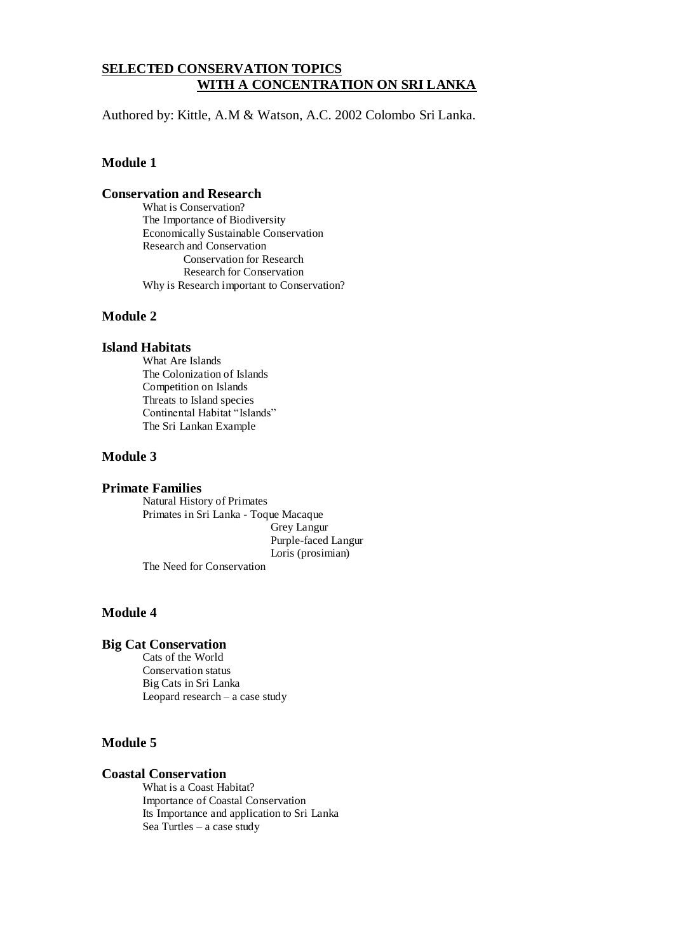### **SELECTED CONSERVATION TOPICS WITH A CONCENTRATION ON SRI LANKA**

Authored by: Kittle, A.M & Watson, A.C. 2002 Colombo Sri Lanka.

### **Module 1**

#### **Conservation and Research**

What is Conservation? The Importance of Biodiversity Economically Sustainable Conservation Research and Conservation Conservation for Research Research for Conservation Why is Research important to Conservation?

### **Module 2**

#### **Island Habitats**

What Are Islands The Colonization of Islands Competition on Islands Threats to Island species Continental Habitat "Islands" The Sri Lankan Example

### **Module 3**

#### **Primate Families**

Natural History of Primates Primates in Sri Lanka - Toque Macaque Grey Langur Purple-faced Langur Loris (prosimian) The Need for Conservation

### **Module 4**

#### **Big Cat Conservation**

Cats of the World Conservation status Big Cats in Sri Lanka Leopard research – a case study

### **Module 5**

#### **Coastal Conservation**

What is a Coast Habitat? Importance of Coastal Conservation Its Importance and application to Sri Lanka Sea Turtles – a case study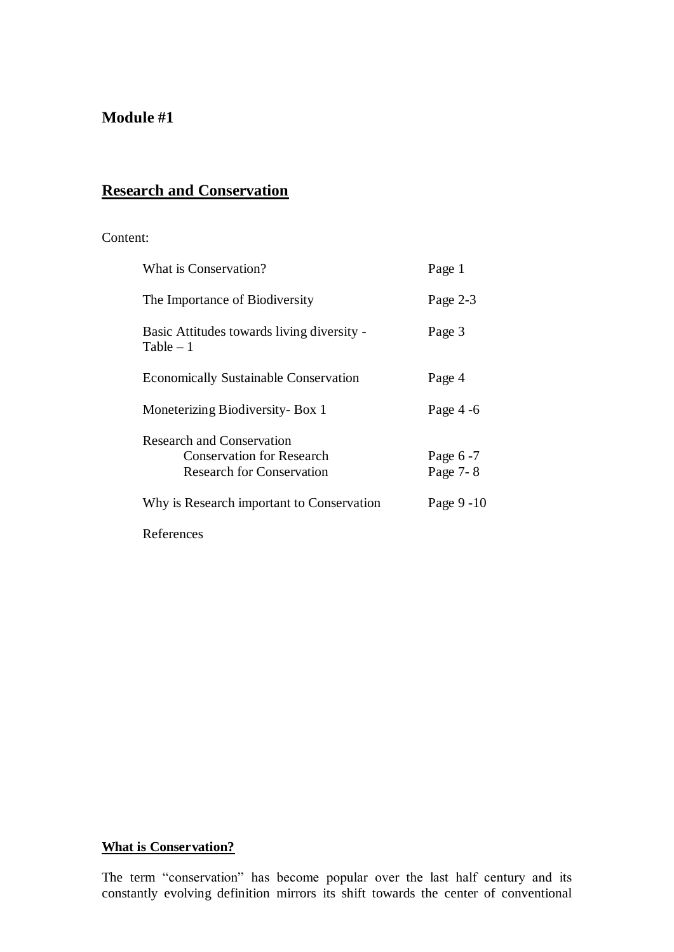## **Module #1**

# **Research and Conservation**

### Content:

| What is Conservation?                                                                                    | Page 1               |
|----------------------------------------------------------------------------------------------------------|----------------------|
| The Importance of Biodiversity                                                                           | Page 2-3             |
| Basic Attitudes towards living diversity -<br>$Table - 1$                                                | Page 3               |
| <b>Economically Sustainable Conservation</b>                                                             | Page 4               |
| Moneterizing Biodiversity- Box 1                                                                         | Page $4-6$           |
| <b>Research and Conservation</b><br><b>Conservation for Research</b><br><b>Research for Conservation</b> | Page 6-7<br>Page 7-8 |
| Why is Research important to Conservation                                                                | Page 9 - 10          |
|                                                                                                          |                      |

References

## **What is Conservation?**

The term "conservation" has become popular over the last half century and its constantly evolving definition mirrors its shift towards the center of conventional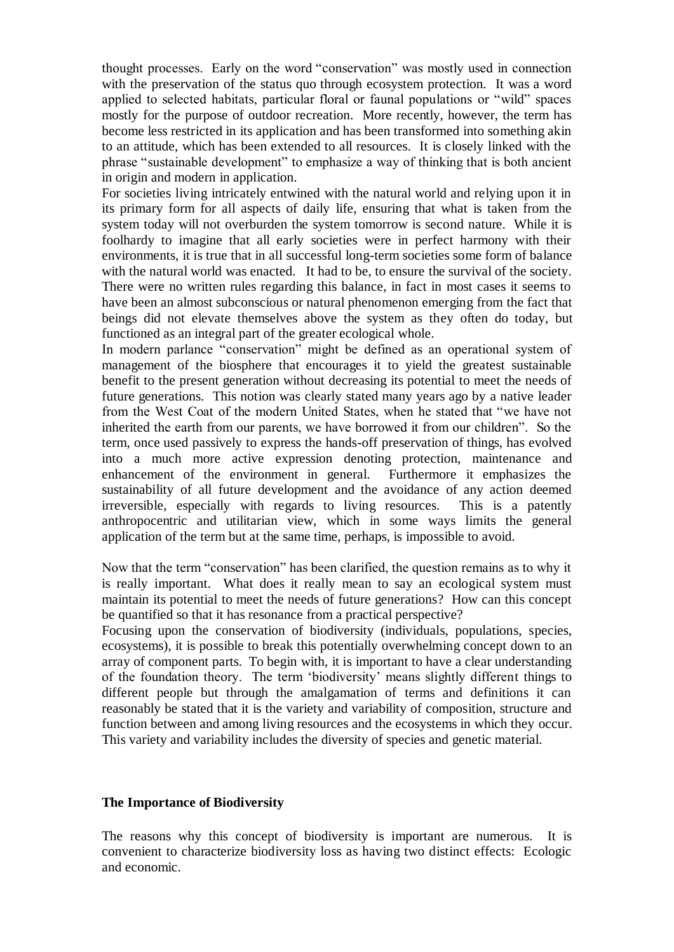thought processes. Early on the word "conservation" was mostly used in connection with the preservation of the status quo through ecosystem protection. It was a word applied to selected habitats, particular floral or faunal populations or "wild" spaces mostly for the purpose of outdoor recreation. More recently, however, the term has become less restricted in its application and has been transformed into something akin to an attitude, which has been extended to all resources. It is closely linked with the phrase "sustainable development" to emphasize a way of thinking that is both ancient in origin and modern in application.

For societies living intricately entwined with the natural world and relying upon it in its primary form for all aspects of daily life, ensuring that what is taken from the system today will not overburden the system tomorrow is second nature. While it is foolhardy to imagine that all early societies were in perfect harmony with their environments, it is true that in all successful long-term societies some form of balance with the natural world was enacted. It had to be, to ensure the survival of the society. There were no written rules regarding this balance, in fact in most cases it seems to have been an almost subconscious or natural phenomenon emerging from the fact that beings did not elevate themselves above the system as they often do today, but functioned as an integral part of the greater ecological whole.

In modern parlance "conservation" might be defined as an operational system of management of the biosphere that encourages it to yield the greatest sustainable benefit to the present generation without decreasing its potential to meet the needs of future generations. This notion was clearly stated many years ago by a native leader from the West Coat of the modern United States, when he stated that "we have not inherited the earth from our parents, we have borrowed it from our children". So the term, once used passively to express the hands-off preservation of things, has evolved into a much more active expression denoting protection, maintenance and enhancement of the environment in general. Furthermore it emphasizes the sustainability of all future development and the avoidance of any action deemed irreversible, especially with regards to living resources. This is a patently anthropocentric and utilitarian view, which in some ways limits the general application of the term but at the same time, perhaps, is impossible to avoid.

Now that the term "conservation" has been clarified, the question remains as to why it is really important. What does it really mean to say an ecological system must maintain its potential to meet the needs of future generations? How can this concept be quantified so that it has resonance from a practical perspective?

Focusing upon the conservation of biodiversity (individuals, populations, species, ecosystems), it is possible to break this potentially overwhelming concept down to an array of component parts. To begin with, it is important to have a clear understanding of the foundation theory. The term 'biodiversity' means slightly different things to different people but through the amalgamation of terms and definitions it can reasonably be stated that it is the variety and variability of composition, structure and function between and among living resources and the ecosystems in which they occur. This variety and variability includes the diversity of species and genetic material.

### **The Importance of Biodiversity**

The reasons why this concept of biodiversity is important are numerous. It is convenient to characterize biodiversity loss as having two distinct effects: Ecologic and economic.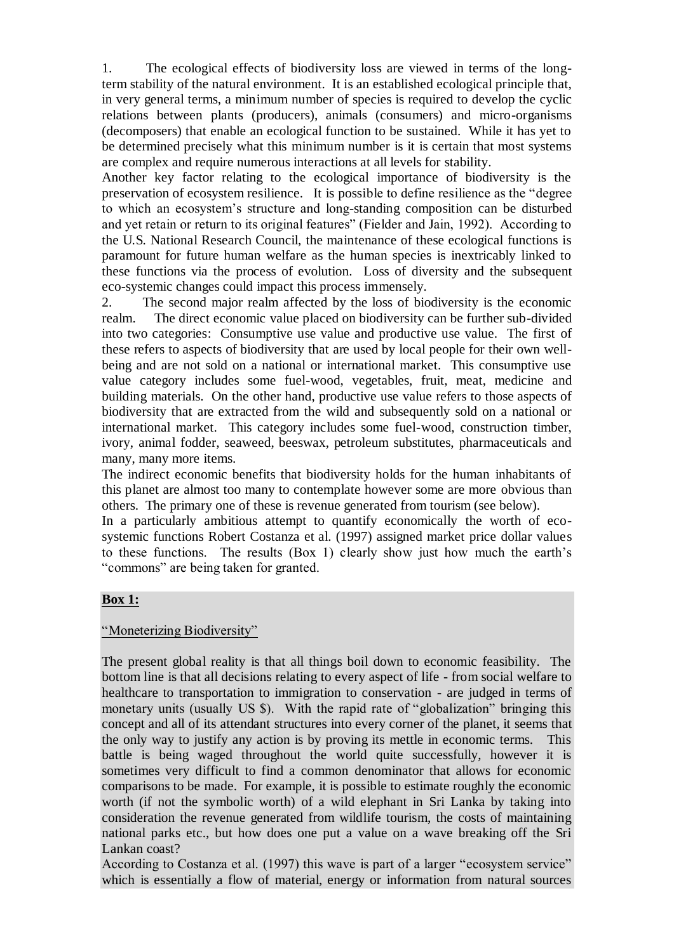1. The ecological effects of biodiversity loss are viewed in terms of the longterm stability of the natural environment. It is an established ecological principle that, in very general terms, a minimum number of species is required to develop the cyclic relations between plants (producers), animals (consumers) and micro-organisms (decomposers) that enable an ecological function to be sustained. While it has yet to be determined precisely what this minimum number is it is certain that most systems are complex and require numerous interactions at all levels for stability.

Another key factor relating to the ecological importance of biodiversity is the preservation of ecosystem resilience. It is possible to define resilience as the "degree to which an ecosystem's structure and long-standing composition can be disturbed and yet retain or return to its original features" (Fielder and Jain, 1992). According to the U.S. National Research Council, the maintenance of these ecological functions is paramount for future human welfare as the human species is inextricably linked to these functions via the process of evolution. Loss of diversity and the subsequent eco-systemic changes could impact this process immensely.

2. The second major realm affected by the loss of biodiversity is the economic realm. The direct economic value placed on biodiversity can be further sub-divided into two categories: Consumptive use value and productive use value. The first of these refers to aspects of biodiversity that are used by local people for their own wellbeing and are not sold on a national or international market. This consumptive use value category includes some fuel-wood, vegetables, fruit, meat, medicine and building materials. On the other hand, productive use value refers to those aspects of biodiversity that are extracted from the wild and subsequently sold on a national or international market. This category includes some fuel-wood, construction timber, ivory, animal fodder, seaweed, beeswax, petroleum substitutes, pharmaceuticals and many, many more items.

The indirect economic benefits that biodiversity holds for the human inhabitants of this planet are almost too many to contemplate however some are more obvious than others. The primary one of these is revenue generated from tourism (see below).

In a particularly ambitious attempt to quantify economically the worth of ecosystemic functions Robert Costanza et al. (1997) assigned market price dollar values to these functions. The results (Box 1) clearly show just how much the earth's "commons" are being taken for granted.

### **Box 1:**

## "Moneterizing Biodiversity"

The present global reality is that all things boil down to economic feasibility. The bottom line is that all decisions relating to every aspect of life - from social welfare to healthcare to transportation to immigration to conservation - are judged in terms of monetary units (usually US \$). With the rapid rate of "globalization" bringing this concept and all of its attendant structures into every corner of the planet, it seems that the only way to justify any action is by proving its mettle in economic terms. This battle is being waged throughout the world quite successfully, however it is sometimes very difficult to find a common denominator that allows for economic comparisons to be made. For example, it is possible to estimate roughly the economic worth (if not the symbolic worth) of a wild elephant in Sri Lanka by taking into consideration the revenue generated from wildlife tourism, the costs of maintaining national parks etc., but how does one put a value on a wave breaking off the Sri Lankan coast?

According to Costanza et al. (1997) this wave is part of a larger "ecosystem service" which is essentially a flow of material, energy or information from natural sources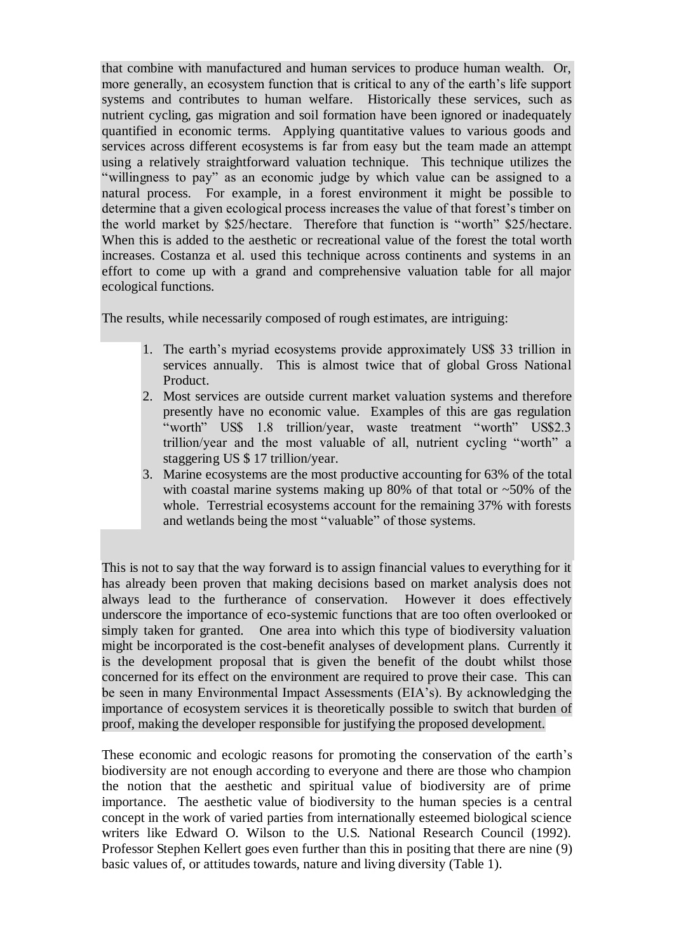that combine with manufactured and human services to produce human wealth. Or, more generally, an ecosystem function that is critical to any of the earth's life support systems and contributes to human welfare. Historically these services, such as nutrient cycling, gas migration and soil formation have been ignored or inadequately quantified in economic terms. Applying quantitative values to various goods and services across different ecosystems is far from easy but the team made an attempt using a relatively straightforward valuation technique. This technique utilizes the "willingness to pay" as an economic judge by which value can be assigned to a natural process. For example, in a forest environment it might be possible to determine that a given ecological process increases the value of that forest's timber on the world market by \$25/hectare. Therefore that function is "worth" \$25/hectare. When this is added to the aesthetic or recreational value of the forest the total worth increases. Costanza et al. used this technique across continents and systems in an effort to come up with a grand and comprehensive valuation table for all major ecological functions.

The results, while necessarily composed of rough estimates, are intriguing:

- 1. The earth's myriad ecosystems provide approximately US\$ 33 trillion in services annually. This is almost twice that of global Gross National Product.
- 2. Most services are outside current market valuation systems and therefore presently have no economic value. Examples of this are gas regulation "worth" US\$ 1.8 trillion/year, waste treatment "worth" US\$2.3 trillion/year and the most valuable of all, nutrient cycling "worth" a staggering US \$ 17 trillion/year.
- 3. Marine ecosystems are the most productive accounting for 63% of the total with coastal marine systems making up 80% of that total or  $\sim$  50% of the whole. Terrestrial ecosystems account for the remaining 37% with forests and wetlands being the most "valuable" of those systems.

This is not to say that the way forward is to assign financial values to everything for it has already been proven that making decisions based on market analysis does not always lead to the furtherance of conservation. However it does effectively underscore the importance of eco-systemic functions that are too often overlooked or simply taken for granted. One area into which this type of biodiversity valuation might be incorporated is the cost-benefit analyses of development plans. Currently it is the development proposal that is given the benefit of the doubt whilst those concerned for its effect on the environment are required to prove their case. This can be seen in many Environmental Impact Assessments (EIA's). By acknowledging the importance of ecosystem services it is theoretically possible to switch that burden of proof, making the developer responsible for justifying the proposed development.

These economic and ecologic reasons for promoting the conservation of the earth's biodiversity are not enough according to everyone and there are those who champion the notion that the aesthetic and spiritual value of biodiversity are of prime importance. The aesthetic value of biodiversity to the human species is a central concept in the work of varied parties from internationally esteemed biological science writers like Edward O. Wilson to the U.S. National Research Council (1992). Professor Stephen Kellert goes even further than this in positing that there are nine (9) basic values of, or attitudes towards, nature and living diversity (Table 1).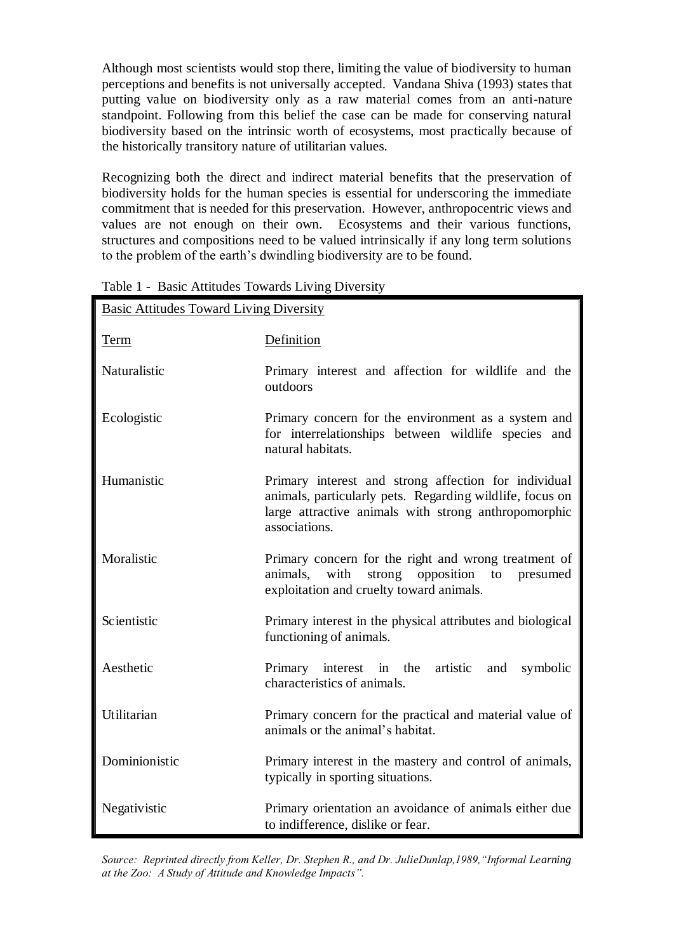Although most scientists would stop there, limiting the value of biodiversity to human perceptions and benefits is not universally accepted. Vandana Shiva (1993) states that putting value on biodiversity only as a raw material comes from an anti-nature standpoint. Following from this belief the case can be made for conserving natural biodiversity based on the intrinsic worth of ecosystems, most practically because of the historically transitory nature of utilitarian values.

Recognizing both the direct and indirect material benefits that the preservation of biodiversity holds for the human species is essential for underscoring the immediate commitment that is needed for this preservation. However, anthropocentric views and values are not enough on their own. Ecosystems and their various functions, structures and compositions need to be valued intrinsically if any long term solutions to the problem of the earth's dwindling biodiversity are to be found.

| <b>Basic Attitudes Toward Living Diversity</b> |                                                                                                                                                                                           |  |  |  |
|------------------------------------------------|-------------------------------------------------------------------------------------------------------------------------------------------------------------------------------------------|--|--|--|
| <u>Term</u>                                    | Definition                                                                                                                                                                                |  |  |  |
| Naturalistic                                   | Primary interest and affection for wildlife and the<br>outdoors                                                                                                                           |  |  |  |
| Ecologistic                                    | Primary concern for the environment as a system and<br>for interrelationships between wildlife species and<br>natural habitats.                                                           |  |  |  |
| Humanistic                                     | Primary interest and strong affection for individual<br>animals, particularly pets. Regarding wildlife, focus on<br>large attractive animals with strong anthropomorphic<br>associations. |  |  |  |
| Moralistic                                     | Primary concern for the right and wrong treatment of<br>with<br>animals.<br>strong<br>opposition<br>to<br>presumed<br>exploitation and cruelty toward animals.                            |  |  |  |
| Scientistic                                    | Primary interest in the physical attributes and biological<br>functioning of animals.                                                                                                     |  |  |  |
| Aesthetic                                      | Primary interest in the<br>artistic<br>symbolic<br>and<br>characteristics of animals.                                                                                                     |  |  |  |
| Utilitarian                                    | Primary concern for the practical and material value of<br>animals or the animal's habitat.                                                                                               |  |  |  |
| Dominionistic                                  | Primary interest in the mastery and control of animals,<br>typically in sporting situations.                                                                                              |  |  |  |
| Negativistic                                   | Primary orientation an avoidance of animals either due<br>to indifference, dislike or fear.                                                                                               |  |  |  |

Table 1 - Basic Attitudes Towards Living Diversity

*Source: Reprinted directly from Keller, Dr. Stephen R., and Dr. JulieDunlap,1989,"Informal Learning at the Zoo: A Study of Attitude and Knowledge Impacts".*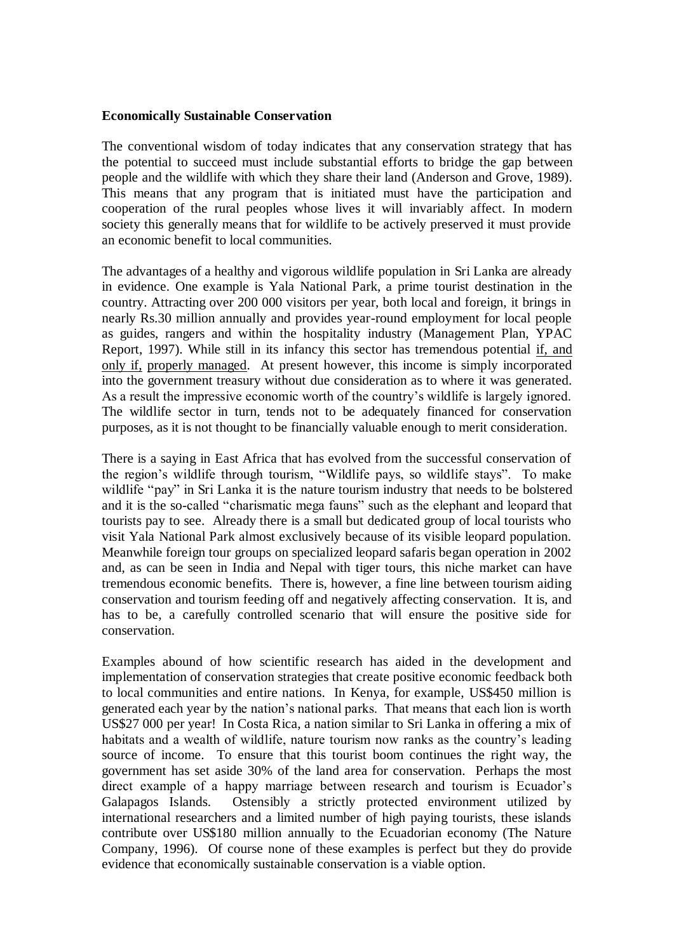### **Economically Sustainable Conservation**

The conventional wisdom of today indicates that any conservation strategy that has the potential to succeed must include substantial efforts to bridge the gap between people and the wildlife with which they share their land (Anderson and Grove, 1989). This means that any program that is initiated must have the participation and cooperation of the rural peoples whose lives it will invariably affect. In modern society this generally means that for wildlife to be actively preserved it must provide an economic benefit to local communities.

The advantages of a healthy and vigorous wildlife population in Sri Lanka are already in evidence. One example is Yala National Park, a prime tourist destination in the country. Attracting over 200 000 visitors per year, both local and foreign, it brings in nearly Rs.30 million annually and provides year-round employment for local people as guides, rangers and within the hospitality industry (Management Plan, YPAC Report, 1997). While still in its infancy this sector has tremendous potential if, and only if, properly managed. At present however, this income is simply incorporated into the government treasury without due consideration as to where it was generated. As a result the impressive economic worth of the country's wildlife is largely ignored. The wildlife sector in turn, tends not to be adequately financed for conservation purposes, as it is not thought to be financially valuable enough to merit consideration.

There is a saying in East Africa that has evolved from the successful conservation of the region's wildlife through tourism, "Wildlife pays, so wildlife stays". To make wildlife "pay" in Sri Lanka it is the nature tourism industry that needs to be bolstered and it is the so-called "charismatic mega fauns" such as the elephant and leopard that tourists pay to see. Already there is a small but dedicated group of local tourists who visit Yala National Park almost exclusively because of its visible leopard population. Meanwhile foreign tour groups on specialized leopard safaris began operation in 2002 and, as can be seen in India and Nepal with tiger tours, this niche market can have tremendous economic benefits. There is, however, a fine line between tourism aiding conservation and tourism feeding off and negatively affecting conservation. It is, and has to be, a carefully controlled scenario that will ensure the positive side for conservation.

Examples abound of how scientific research has aided in the development and implementation of conservation strategies that create positive economic feedback both to local communities and entire nations. In Kenya, for example, US\$450 million is generated each year by the nation's national parks. That means that each lion is worth US\$27 000 per year! In Costa Rica, a nation similar to Sri Lanka in offering a mix of habitats and a wealth of wildlife, nature tourism now ranks as the country's leading source of income. To ensure that this tourist boom continues the right way, the government has set aside 30% of the land area for conservation. Perhaps the most direct example of a happy marriage between research and tourism is Ecuador's Galapagos Islands. Ostensibly a strictly protected environment utilized by international researchers and a limited number of high paying tourists, these islands contribute over US\$180 million annually to the Ecuadorian economy (The Nature Company, 1996). Of course none of these examples is perfect but they do provide evidence that economically sustainable conservation is a viable option.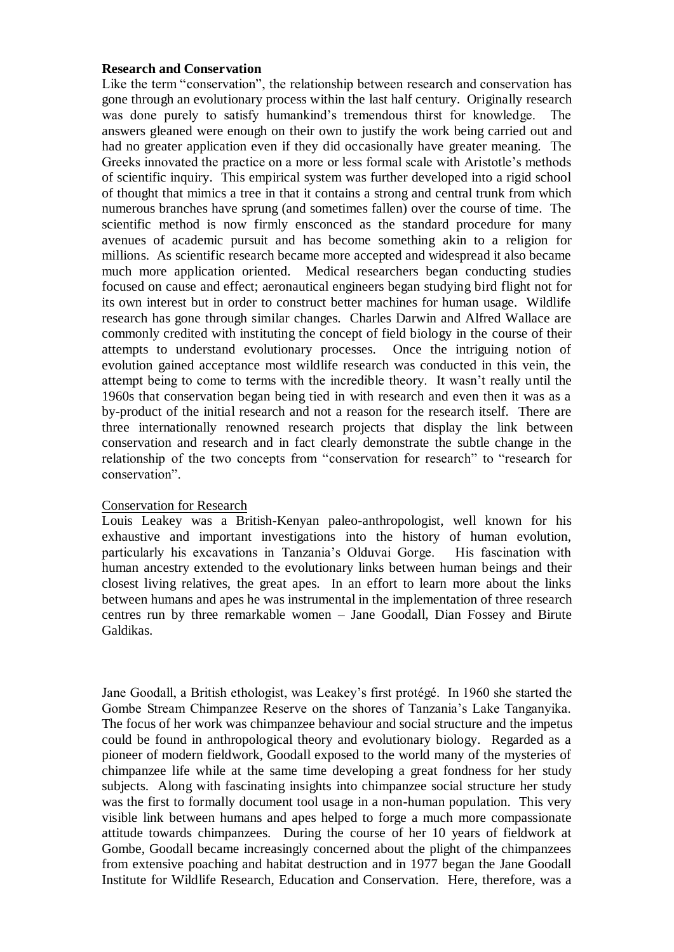### **Research and Conservation**

Like the term "conservation", the relationship between research and conservation has gone through an evolutionary process within the last half century. Originally research was done purely to satisfy humankind's tremendous thirst for knowledge. The answers gleaned were enough on their own to justify the work being carried out and had no greater application even if they did occasionally have greater meaning. The Greeks innovated the practice on a more or less formal scale with Aristotle's methods of scientific inquiry. This empirical system was further developed into a rigid school of thought that mimics a tree in that it contains a strong and central trunk from which numerous branches have sprung (and sometimes fallen) over the course of time. The scientific method is now firmly ensconced as the standard procedure for many avenues of academic pursuit and has become something akin to a religion for millions. As scientific research became more accepted and widespread it also became much more application oriented. Medical researchers began conducting studies focused on cause and effect; aeronautical engineers began studying bird flight not for its own interest but in order to construct better machines for human usage. Wildlife research has gone through similar changes. Charles Darwin and Alfred Wallace are commonly credited with instituting the concept of field biology in the course of their attempts to understand evolutionary processes. Once the intriguing notion of evolution gained acceptance most wildlife research was conducted in this vein, the attempt being to come to terms with the incredible theory. It wasn't really until the 1960s that conservation began being tied in with research and even then it was as a by-product of the initial research and not a reason for the research itself. There are three internationally renowned research projects that display the link between conservation and research and in fact clearly demonstrate the subtle change in the relationship of the two concepts from "conservation for research" to "research for conservation".

### Conservation for Research

Louis Leakey was a British-Kenyan paleo-anthropologist, well known for his exhaustive and important investigations into the history of human evolution, particularly his excavations in Tanzania's Olduvai Gorge. His fascination with human ancestry extended to the evolutionary links between human beings and their closest living relatives, the great apes. In an effort to learn more about the links between humans and apes he was instrumental in the implementation of three research centres run by three remarkable women – Jane Goodall, Dian Fossey and Birute Galdikas.

Jane Goodall, a British ethologist, was Leakey's first protégé. In 1960 she started the Gombe Stream Chimpanzee Reserve on the shores of Tanzania's Lake Tanganyika. The focus of her work was chimpanzee behaviour and social structure and the impetus could be found in anthropological theory and evolutionary biology. Regarded as a pioneer of modern fieldwork, Goodall exposed to the world many of the mysteries of chimpanzee life while at the same time developing a great fondness for her study subjects. Along with fascinating insights into chimpanzee social structure her study was the first to formally document tool usage in a non-human population. This very visible link between humans and apes helped to forge a much more compassionate attitude towards chimpanzees. During the course of her 10 years of fieldwork at Gombe, Goodall became increasingly concerned about the plight of the chimpanzees from extensive poaching and habitat destruction and in 1977 began the Jane Goodall Institute for Wildlife Research, Education and Conservation. Here, therefore, was a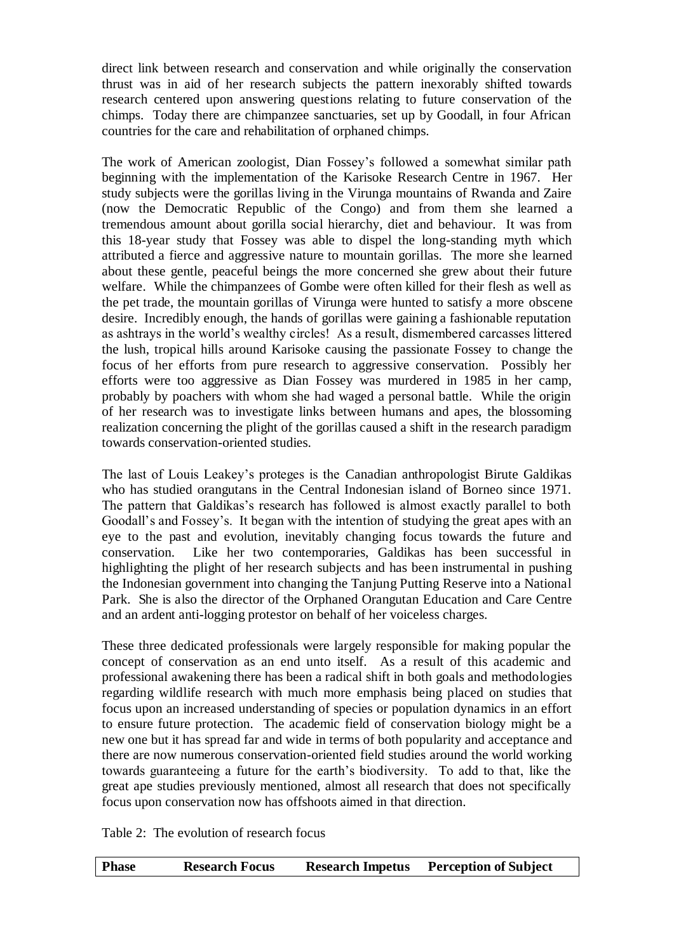direct link between research and conservation and while originally the conservation thrust was in aid of her research subjects the pattern inexorably shifted towards research centered upon answering questions relating to future conservation of the chimps. Today there are chimpanzee sanctuaries, set up by Goodall, in four African countries for the care and rehabilitation of orphaned chimps.

The work of American zoologist, Dian Fossey's followed a somewhat similar path beginning with the implementation of the Karisoke Research Centre in 1967. Her study subjects were the gorillas living in the Virunga mountains of Rwanda and Zaire (now the Democratic Republic of the Congo) and from them she learned a tremendous amount about gorilla social hierarchy, diet and behaviour. It was from this 18-year study that Fossey was able to dispel the long-standing myth which attributed a fierce and aggressive nature to mountain gorillas. The more she learned about these gentle, peaceful beings the more concerned she grew about their future welfare. While the chimpanzees of Gombe were often killed for their flesh as well as the pet trade, the mountain gorillas of Virunga were hunted to satisfy a more obscene desire. Incredibly enough, the hands of gorillas were gaining a fashionable reputation as ashtrays in the world's wealthy circles! As a result, dismembered carcasses littered the lush, tropical hills around Karisoke causing the passionate Fossey to change the focus of her efforts from pure research to aggressive conservation. Possibly her efforts were too aggressive as Dian Fossey was murdered in 1985 in her camp, probably by poachers with whom she had waged a personal battle. While the origin of her research was to investigate links between humans and apes, the blossoming realization concerning the plight of the gorillas caused a shift in the research paradigm towards conservation-oriented studies.

The last of Louis Leakey's proteges is the Canadian anthropologist Birute Galdikas who has studied orangutans in the Central Indonesian island of Borneo since 1971. The pattern that Galdikas's research has followed is almost exactly parallel to both Goodall's and Fossey's. It began with the intention of studying the great apes with an eye to the past and evolution, inevitably changing focus towards the future and conservation. Like her two contemporaries, Galdikas has been successful in highlighting the plight of her research subjects and has been instrumental in pushing the Indonesian government into changing the Tanjung Putting Reserve into a National Park. She is also the director of the Orphaned Orangutan Education and Care Centre and an ardent anti-logging protestor on behalf of her voiceless charges.

These three dedicated professionals were largely responsible for making popular the concept of conservation as an end unto itself. As a result of this academic and professional awakening there has been a radical shift in both goals and methodologies regarding wildlife research with much more emphasis being placed on studies that focus upon an increased understanding of species or population dynamics in an effort to ensure future protection. The academic field of conservation biology might be a new one but it has spread far and wide in terms of both popularity and acceptance and there are now numerous conservation-oriented field studies around the world working towards guaranteeing a future for the earth's biodiversity. To add to that, like the great ape studies previously mentioned, almost all research that does not specifically focus upon conservation now has offshoots aimed in that direction.

Table 2: The evolution of research focus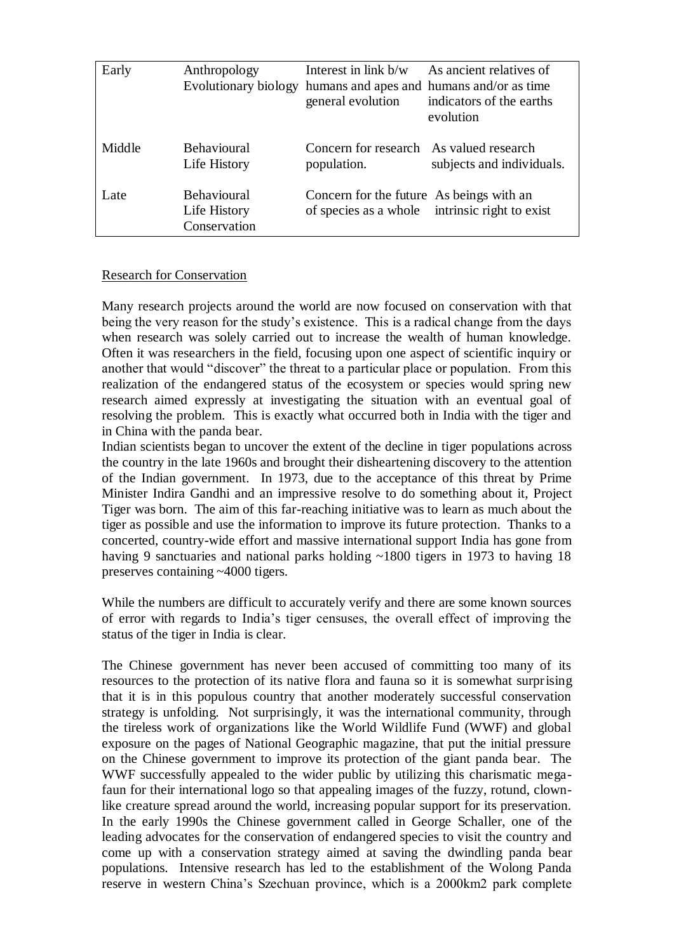| Early  | Anthropology<br>Evolutionary biology               | Interest in link $b/w$<br>general evolution            | As ancient relatives of<br>humans and apes and humans and/or as time<br>indicators of the earths<br>evolution |
|--------|----------------------------------------------------|--------------------------------------------------------|---------------------------------------------------------------------------------------------------------------|
| Middle | <b>Behavioural</b><br>Life History                 | Concern for research As valued research<br>population. | subjects and individuals.                                                                                     |
| Late   | <b>Behavioural</b><br>Life History<br>Conservation | Concern for the future As beings with an               | of species as a whole intrinsic right to exist                                                                |

### Research for Conservation

Many research projects around the world are now focused on conservation with that being the very reason for the study's existence. This is a radical change from the days when research was solely carried out to increase the wealth of human knowledge. Often it was researchers in the field, focusing upon one aspect of scientific inquiry or another that would "discover" the threat to a particular place or population. From this realization of the endangered status of the ecosystem or species would spring new research aimed expressly at investigating the situation with an eventual goal of resolving the problem. This is exactly what occurred both in India with the tiger and in China with the panda bear.

Indian scientists began to uncover the extent of the decline in tiger populations across the country in the late 1960s and brought their disheartening discovery to the attention of the Indian government. In 1973, due to the acceptance of this threat by Prime Minister Indira Gandhi and an impressive resolve to do something about it, Project Tiger was born. The aim of this far-reaching initiative was to learn as much about the tiger as possible and use the information to improve its future protection. Thanks to a concerted, country-wide effort and massive international support India has gone from having 9 sanctuaries and national parks holding ~1800 tigers in 1973 to having 18 preserves containing ~4000 tigers.

While the numbers are difficult to accurately verify and there are some known sources of error with regards to India's tiger censuses, the overall effect of improving the status of the tiger in India is clear.

The Chinese government has never been accused of committing too many of its resources to the protection of its native flora and fauna so it is somewhat surprising that it is in this populous country that another moderately successful conservation strategy is unfolding. Not surprisingly, it was the international community, through the tireless work of organizations like the World Wildlife Fund (WWF) and global exposure on the pages of National Geographic magazine, that put the initial pressure on the Chinese government to improve its protection of the giant panda bear. The WWF successfully appealed to the wider public by utilizing this charismatic megafaun for their international logo so that appealing images of the fuzzy, rotund, clownlike creature spread around the world, increasing popular support for its preservation. In the early 1990s the Chinese government called in George Schaller, one of the leading advocates for the conservation of endangered species to visit the country and come up with a conservation strategy aimed at saving the dwindling panda bear populations. Intensive research has led to the establishment of the Wolong Panda reserve in western China's Szechuan province, which is a 2000km2 park complete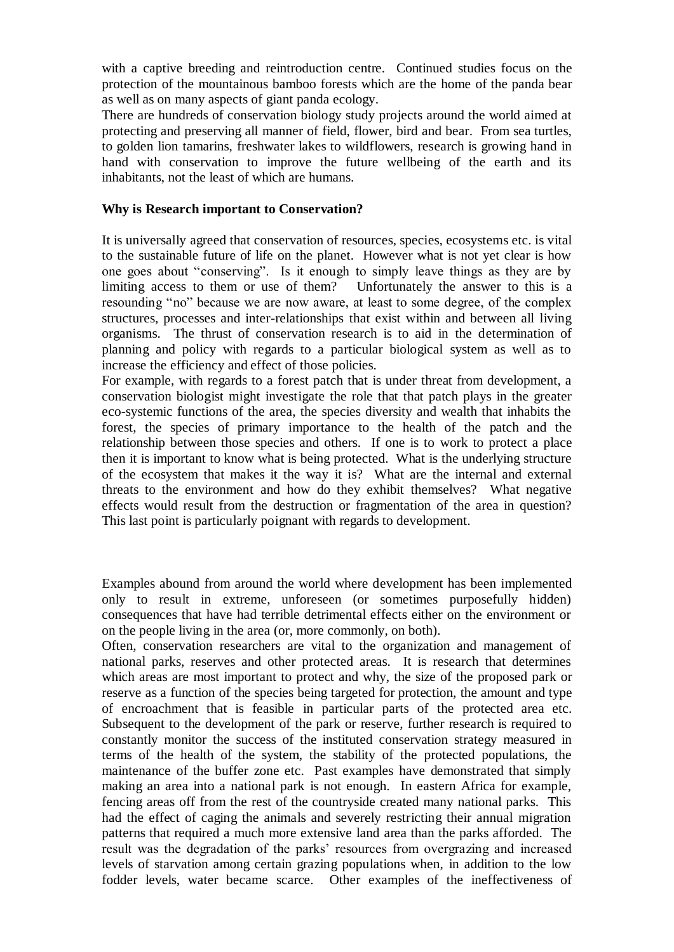with a captive breeding and reintroduction centre. Continued studies focus on the protection of the mountainous bamboo forests which are the home of the panda bear as well as on many aspects of giant panda ecology.

There are hundreds of conservation biology study projects around the world aimed at protecting and preserving all manner of field, flower, bird and bear. From sea turtles, to golden lion tamarins, freshwater lakes to wildflowers, research is growing hand in hand with conservation to improve the future wellbeing of the earth and its inhabitants, not the least of which are humans.

### **Why is Research important to Conservation?**

It is universally agreed that conservation of resources, species, ecosystems etc. is vital to the sustainable future of life on the planet. However what is not yet clear is how one goes about "conserving". Is it enough to simply leave things as they are by limiting access to them or use of them? Unfortunately the answer to this is a resounding "no" because we are now aware, at least to some degree, of the complex structures, processes and inter-relationships that exist within and between all living organisms. The thrust of conservation research is to aid in the determination of planning and policy with regards to a particular biological system as well as to increase the efficiency and effect of those policies.

For example, with regards to a forest patch that is under threat from development, a conservation biologist might investigate the role that that patch plays in the greater eco-systemic functions of the area, the species diversity and wealth that inhabits the forest, the species of primary importance to the health of the patch and the relationship between those species and others. If one is to work to protect a place then it is important to know what is being protected. What is the underlying structure of the ecosystem that makes it the way it is? What are the internal and external threats to the environment and how do they exhibit themselves? What negative effects would result from the destruction or fragmentation of the area in question? This last point is particularly poignant with regards to development.

Examples abound from around the world where development has been implemented only to result in extreme, unforeseen (or sometimes purposefully hidden) consequences that have had terrible detrimental effects either on the environment or on the people living in the area (or, more commonly, on both).

Often, conservation researchers are vital to the organization and management of national parks, reserves and other protected areas. It is research that determines which areas are most important to protect and why, the size of the proposed park or reserve as a function of the species being targeted for protection, the amount and type of encroachment that is feasible in particular parts of the protected area etc. Subsequent to the development of the park or reserve, further research is required to constantly monitor the success of the instituted conservation strategy measured in terms of the health of the system, the stability of the protected populations, the maintenance of the buffer zone etc. Past examples have demonstrated that simply making an area into a national park is not enough. In eastern Africa for example, fencing areas off from the rest of the countryside created many national parks. This had the effect of caging the animals and severely restricting their annual migration patterns that required a much more extensive land area than the parks afforded. The result was the degradation of the parks' resources from overgrazing and increased levels of starvation among certain grazing populations when, in addition to the low fodder levels, water became scarce. Other examples of the ineffectiveness of